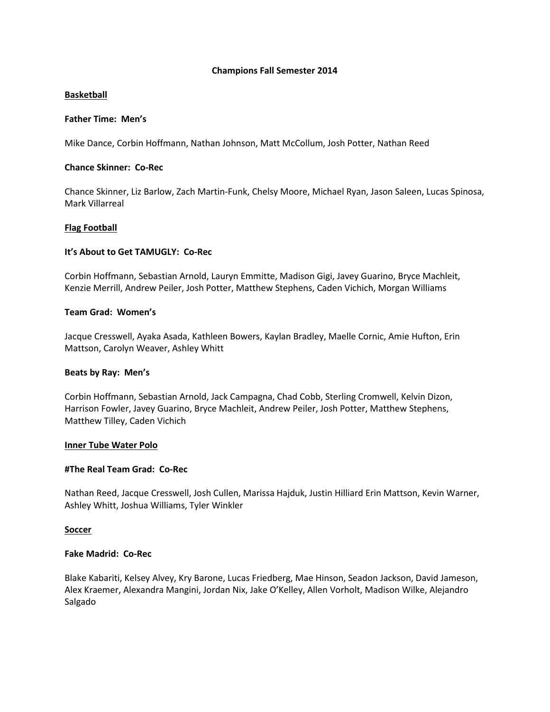### **Champions Fall Semester 2014**

### **Basketball**

### **Father Time: Men's**

Mike Dance, Corbin Hoffmann, Nathan Johnson, Matt McCollum, Josh Potter, Nathan Reed

### **Chance Skinner: Co-Rec**

Chance Skinner, Liz Barlow, Zach Martin-Funk, Chelsy Moore, Michael Ryan, Jason Saleen, Lucas Spinosa, Mark Villarreal

### **Flag Football**

### **It's About to Get TAMUGLY: Co-Rec**

Corbin Hoffmann, Sebastian Arnold, Lauryn Emmitte, Madison Gigi, Javey Guarino, Bryce Machleit, Kenzie Merrill, Andrew Peiler, Josh Potter, Matthew Stephens, Caden Vichich, Morgan Williams

### **Team Grad: Women's**

Jacque Cresswell, Ayaka Asada, Kathleen Bowers, Kaylan Bradley, Maelle Cornic, Amie Hufton, Erin Mattson, Carolyn Weaver, Ashley Whitt

### **Beats by Ray: Men's**

Corbin Hoffmann, Sebastian Arnold, Jack Campagna, Chad Cobb, Sterling Cromwell, Kelvin Dizon, Harrison Fowler, Javey Guarino, Bryce Machleit, Andrew Peiler, Josh Potter, Matthew Stephens, Matthew Tilley, Caden Vichich

### **Inner Tube Water Polo**

### **#The Real Team Grad: Co-Rec**

Nathan Reed, Jacque Cresswell, Josh Cullen, Marissa Hajduk, Justin Hilliard Erin Mattson, Kevin Warner, Ashley Whitt, Joshua Williams, Tyler Winkler

### **Soccer**

### **Fake Madrid: Co-Rec**

Blake Kabariti, Kelsey Alvey, Kry Barone, Lucas Friedberg, Mae Hinson, Seadon Jackson, David Jameson, Alex Kraemer, Alexandra Mangini, Jordan Nix, Jake O'Kelley, Allen Vorholt, Madison Wilke, Alejandro Salgado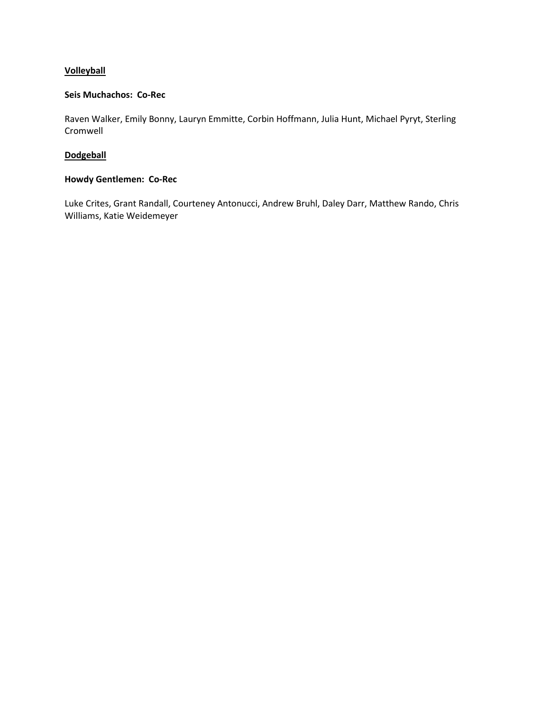### **Volleyball**

### **Seis Muchachos: Co-Rec**

Raven Walker, Emily Bonny, Lauryn Emmitte, Corbin Hoffmann, Julia Hunt, Michael Pyryt, Sterling Cromwell

### **Dodgeball**

# **Howdy Gentlemen: Co-Rec**

Luke Crites, Grant Randall, Courteney Antonucci, Andrew Bruhl, Daley Darr, Matthew Rando, Chris Williams, Katie Weidemeyer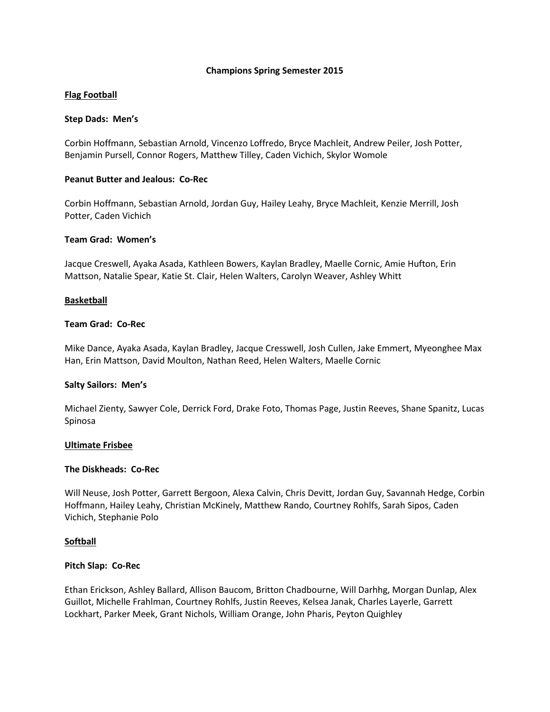### **Champions Spring Semester 2015**

### **Flag Football**

### **Step Dads: Men's**

Corbin Hoffmann, Sebastian Arnold, Vincenzo Loffredo, Bryce Machleit, Andrew Peiler, Josh Potter, Benjamin Pursell, Connor Rogers, Matthew Tilley, Caden Vichich, Skylor Womole

### **Peanut Butter and Jealous: Co-Rec**

Corbin Hoffmann, Sebastian Arnold, Jordan Guy, Hailey Leahy, Bryce Machleit, Kenzie Merrill, Josh Potter, Caden Vichich

### **Team Grad: Women's**

Jacque Creswell, Ayaka Asada, Kathleen Bowers, Kaylan Bradley, Maelle Cornic, Amie Hufton, Erin Mattson, Natalie Spear, Katie St. Clair, Helen Walters, Carolyn Weaver, Ashley Whitt

### **Basketball**

### **Team Grad: Co-Rec**

Mike Dance, Ayaka Asada, Kaylan Bradley, Jacque Cresswell, Josh Cullen, Jake Emmert, Myeonghee Max Han, Erin Mattson, David Moulton, Nathan Reed, Helen Walters, Maelle Cornic

### **Salty Sailors: Men's**

Michael Zienty, Sawyer Cole, Derrick Ford, Drake Foto, Thomas Page, Justin Reeves, Shane Spanitz, Lucas Spinosa

### **Ultimate Frisbee**

### **The Diskheads: Co-Rec**

Will Neuse, Josh Potter, Garrett Bergoon, Alexa Calvin, Chris Devitt, Jordan Guy, Savannah Hedge, Corbin Hoffmann, Hailey Leahy, Christian McKinely, Matthew Rando, Courtney Rohlfs, Sarah Sipos, Caden Vichich, Stephanie Polo

### **Softball**

### **Pitch Slap: Co-Rec**

Ethan Erickson, Ashley Ballard, Allison Baucom, Britton Chadbourne, Will Darhhg, Morgan Dunlap, Alex Guillot, Michelle Frahlman, Courtney Rohlfs, Justin Reeves, Kelsea Janak, Charles Layerle, Garrett Lockhart, Parker Meek, Grant Nichols, William Orange, John Pharis, Peyton Quighley